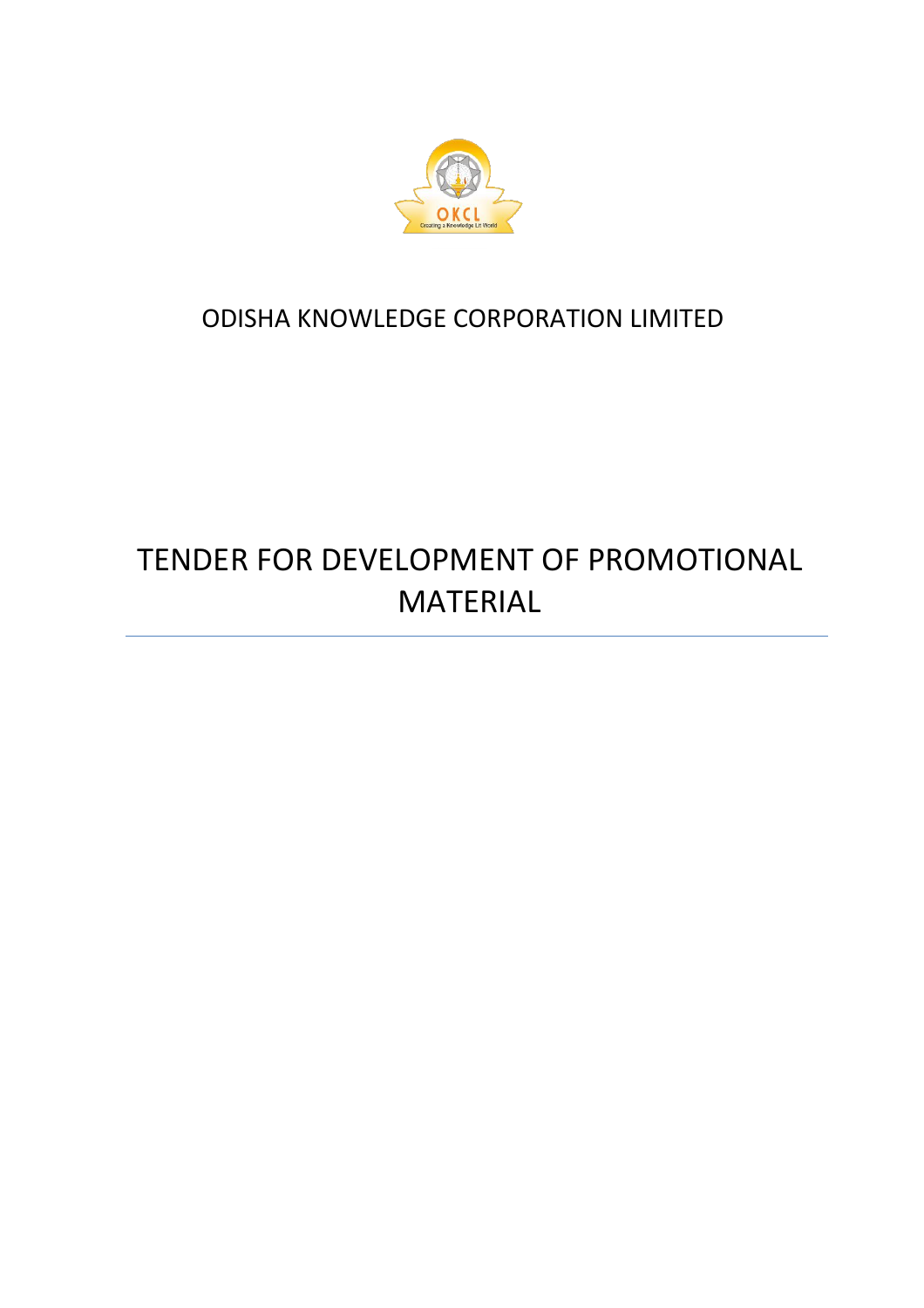

# ODISHA KNOWLEDGE CORPORATION LIMITED

# TENDER FOR DEVELOPMENT OF PROMOTIONAL MATERIAL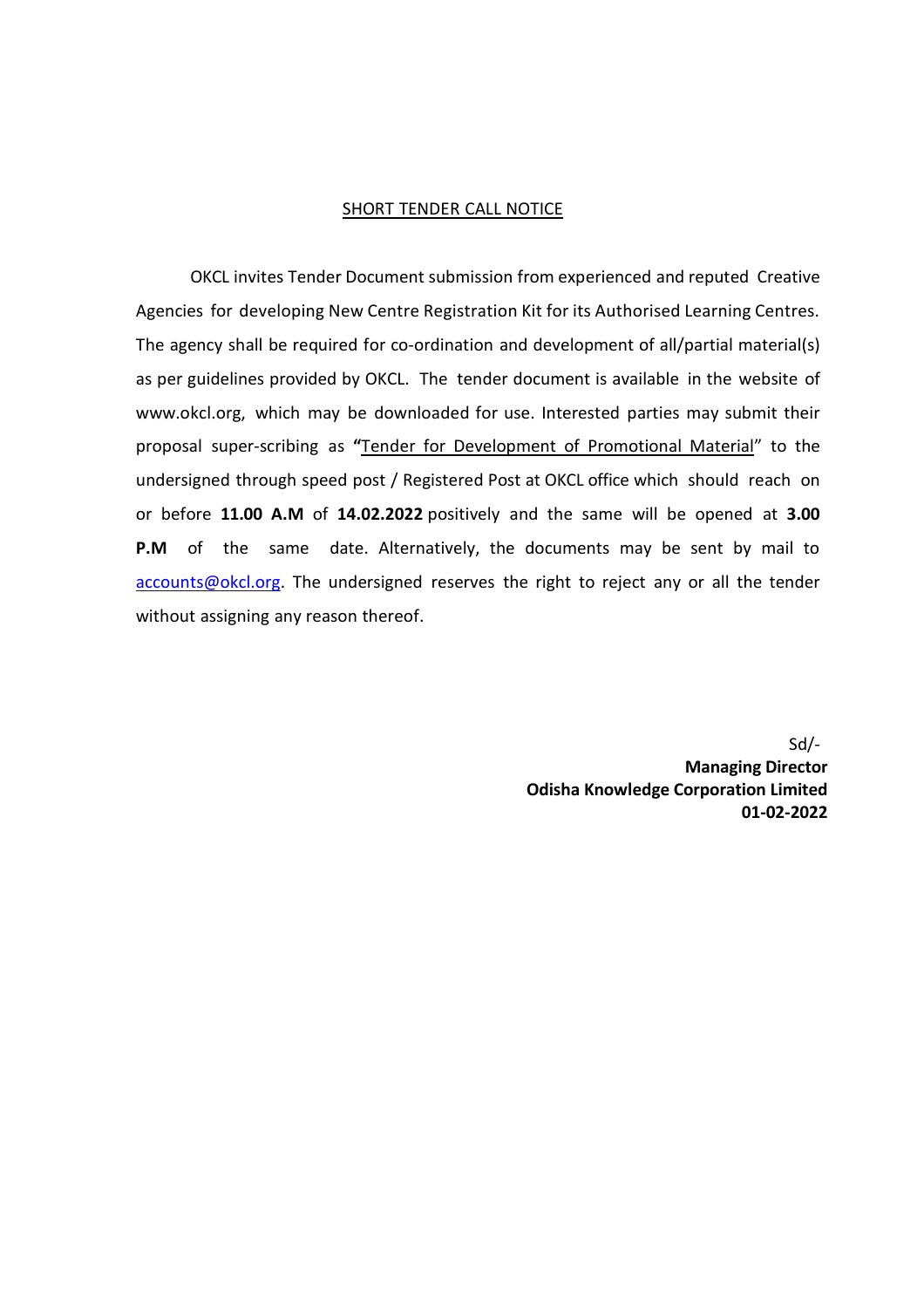#### SHORT TENDER CALL NOTICE

OKCL invites Tender Document submission from experienced and reputed Creative Agencies for developing New Centre Registration Kit for its Authorised Learning Centres. The agency shall be required for co-ordination and development of all/partial material(s) as per guidelines provided by OKCL. The tender document is available in the website of www.okcl.org, which may be downloaded for use. Interested parties may submit their proposal super-scribing as **"**Tender for Development of Promotional Material" to the undersigned through speed post / Registered Post at OKCL office which should reach on or before **11.00 A.M** of **14.02.2022** positively and the same will be opened at **3.00 P.M** of the same date. Alternatively, the documents may be sent by mail to [accounts@okcl.org.](mailto:accounts@okcl.org) The undersigned reserves the right to reject any or all the tender without assigning any reason thereof.

> Sd/- **Managing Director Odisha Knowledge Corporation Limited 01-02-2022**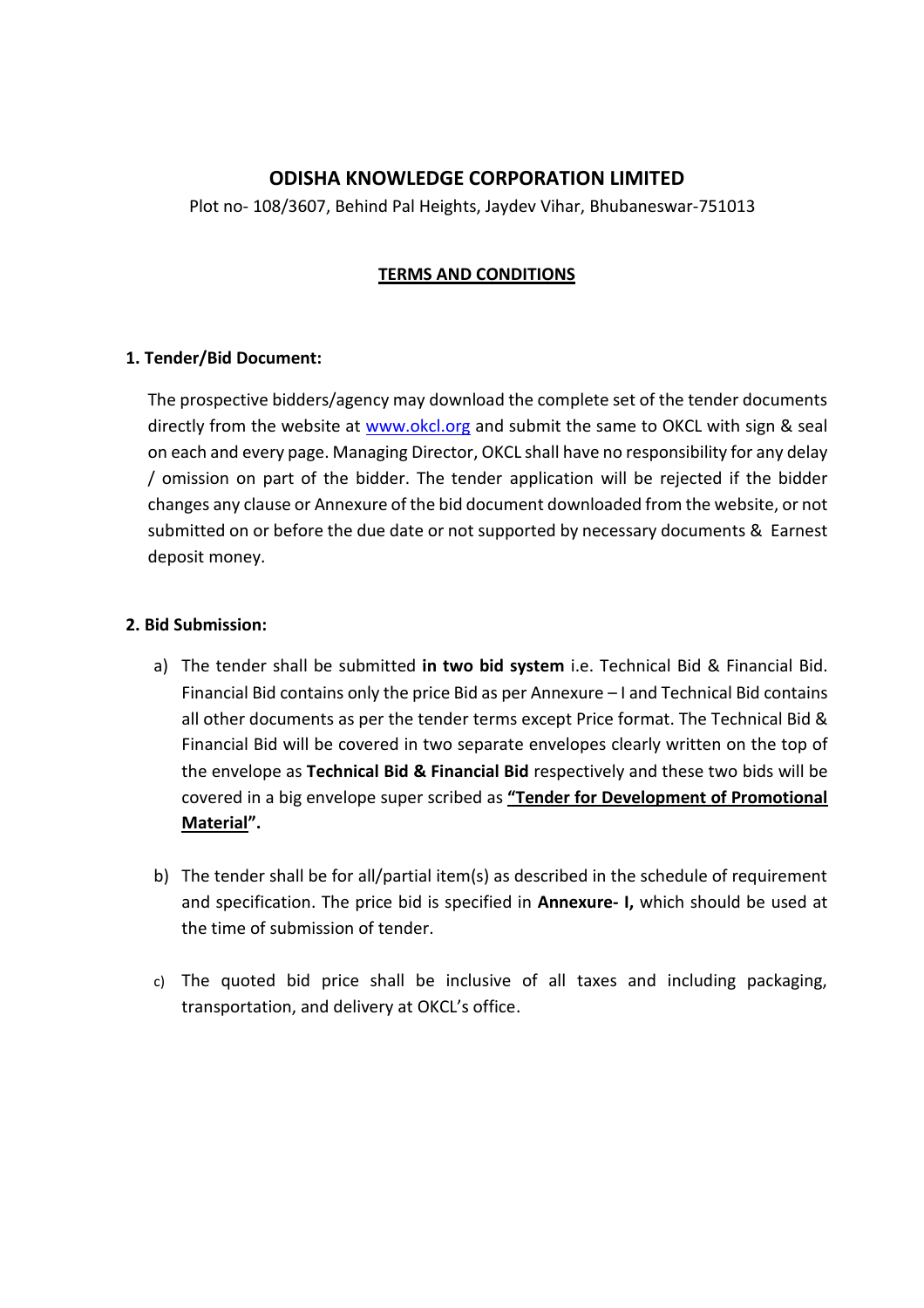# **ODISHA KNOWLEDGE CORPORATION LIMITED**

Plot no- 108/3607, Behind Pal Heights, Jaydev Vihar, Bhubaneswar-751013

### **TERMS AND CONDITIONS**

#### **1. Tender/Bid Document:**

The prospective bidders/agency may download the complete set of the tender documents directly from the website at [www.okcl.org](http://www.okcl.org/) and submit the same to OKCL with sign & seal on each and every page. Managing Director, OKCL shall have no responsibility for any delay / omission on part of the bidder. The tender application will be rejected if the bidder changes any clause or Annexure of the bid document downloaded from the website, or not submitted on or before the due date or not supported by necessary documents & Earnest deposit money.

#### **2. Bid Submission:**

- a) The tender shall be submitted **in two bid system** i.e. Technical Bid & Financial Bid. Financial Bid contains only the price Bid as per Annexure – I and Technical Bid contains all other documents as per the tender terms except Price format. The Technical Bid & Financial Bid will be covered in two separate envelopes clearly written on the top of the envelope as **Technical Bid & Financial Bid** respectively and these two bids will be covered in a big envelope super scribed as **"Tender for Development of Promotional Material".**
- b) The tender shall be for all/partial item(s) as described in the schedule of requirement and specification. The price bid is specified in **Annexure- I,** which should be used at the time of submission of tender.
- c) The quoted bid price shall be inclusive of all taxes and including packaging, transportation, and delivery at OKCL's office.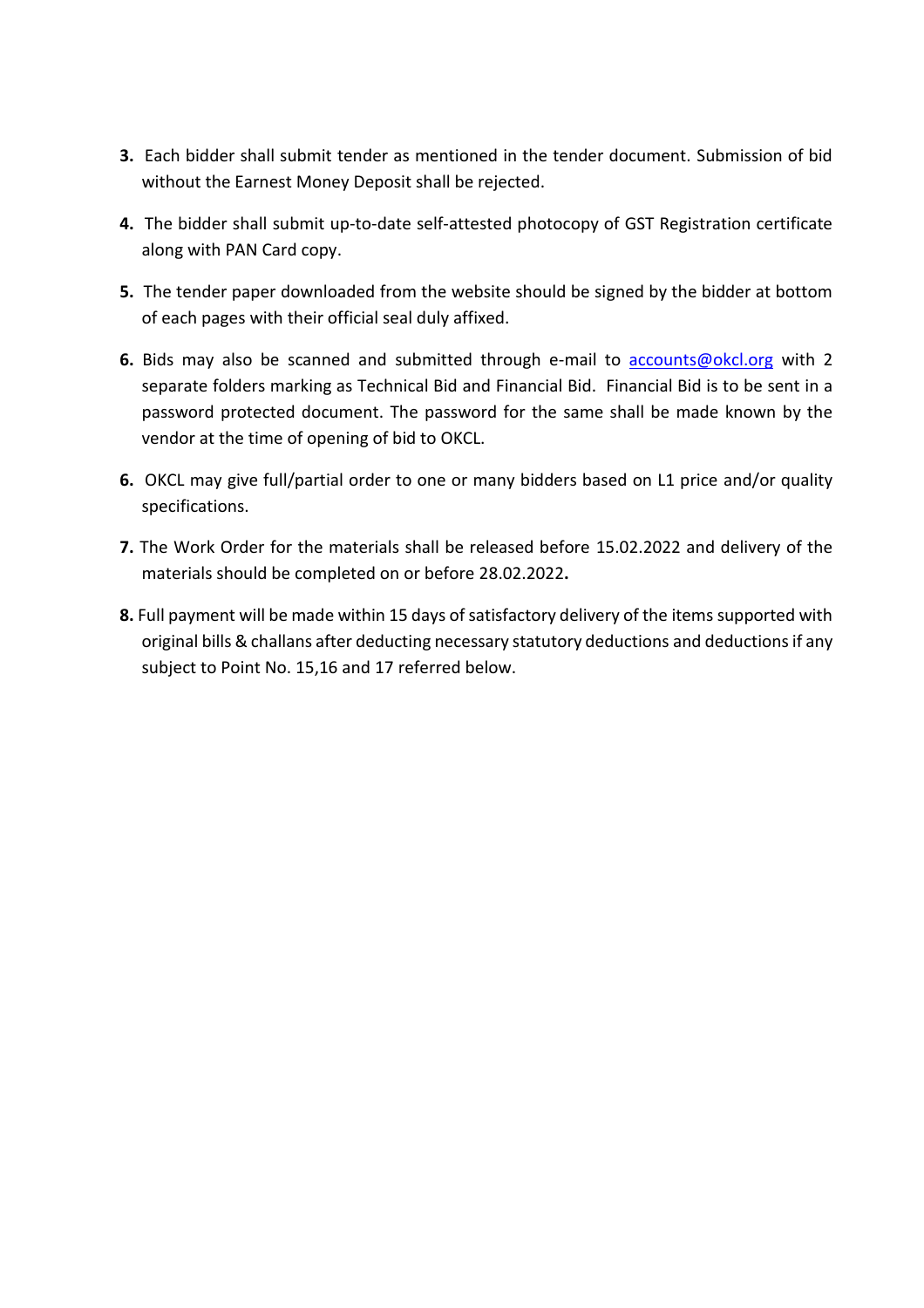- **3.** Each bidder shall submit tender as mentioned in the tender document. Submission of bid without the Earnest Money Deposit shall be rejected.
- **4.** The bidder shall submit up-to-date self-attested photocopy of GST Registration certificate along with PAN Card copy.
- **5.** The tender paper downloaded from the website should be signed by the bidder at bottom of each pages with their official seal duly affixed.
- **6.** Bids may also be scanned and submitted through e-mail to [accounts@okcl.org](mailto:accounts@okcl.org) with 2 separate folders marking as Technical Bid and Financial Bid. Financial Bid is to be sent in a password protected document. The password for the same shall be made known by the vendor at the time of opening of bid to OKCL.
- **6.** OKCL may give full/partial order to one or many bidders based on L1 price and/or quality specifications.
- **7.** The Work Order for the materials shall be released before 15.02.2022 and delivery of the materials should be completed on or before 28.02.2022**.**
- **8.** Full payment will be made within 15 days of satisfactory delivery of the items supported with original bills & challans after deducting necessary statutory deductions and deductionsif any subject to Point No. 15,16 and 17 referred below.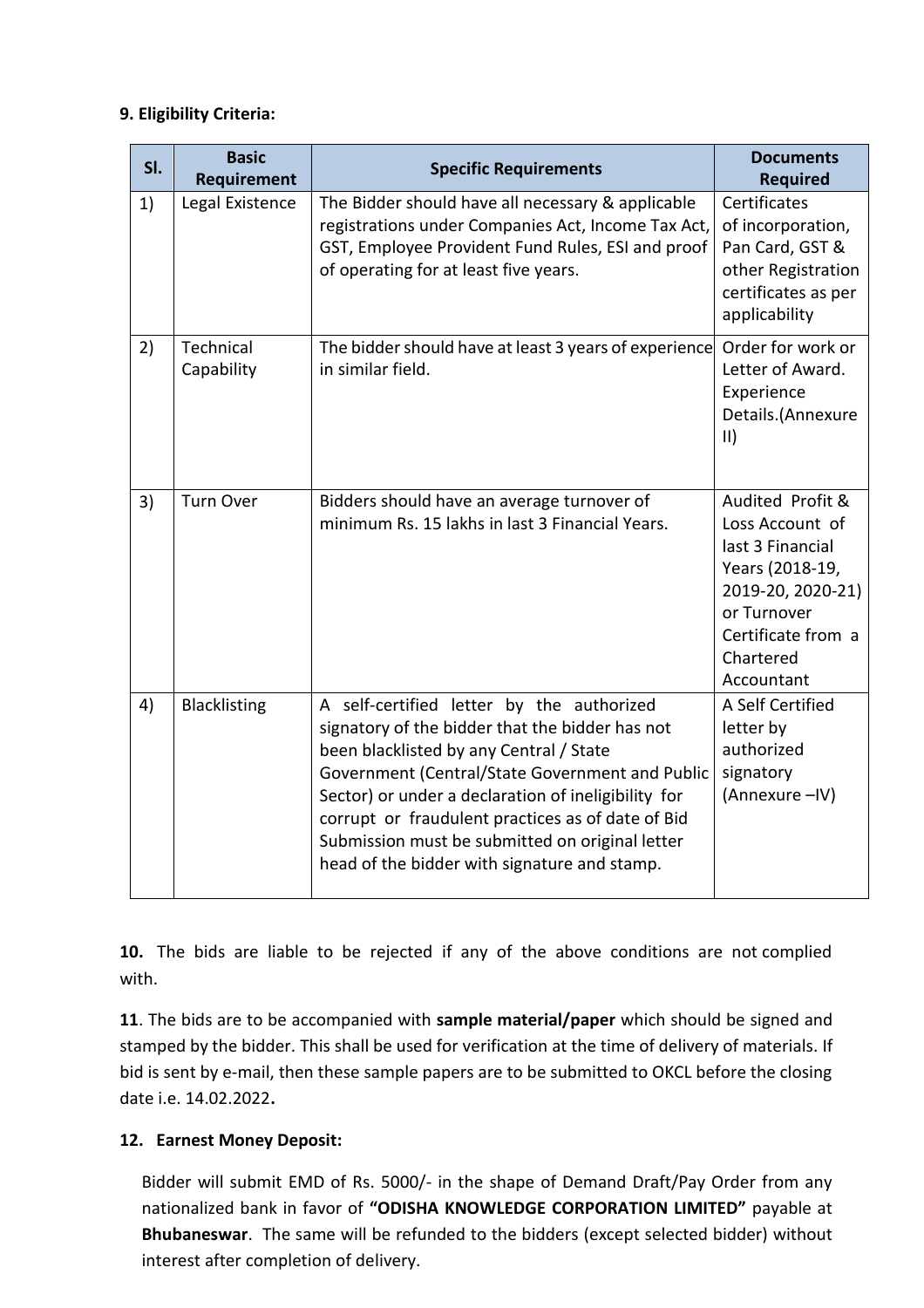### **9. Eligibility Criteria:**

| SI. | <b>Basic</b><br><b>Requirement</b> | <b>Specific Requirements</b>                                                                                                                                                                                                                                                                                                                                                                              | <b>Documents</b><br><b>Required</b>                                                                                                                             |  |
|-----|------------------------------------|-----------------------------------------------------------------------------------------------------------------------------------------------------------------------------------------------------------------------------------------------------------------------------------------------------------------------------------------------------------------------------------------------------------|-----------------------------------------------------------------------------------------------------------------------------------------------------------------|--|
| 1)  | Legal Existence                    | The Bidder should have all necessary & applicable<br>registrations under Companies Act, Income Tax Act,<br>GST, Employee Provident Fund Rules, ESI and proof<br>of operating for at least five years.                                                                                                                                                                                                     | Certificates<br>of incorporation,<br>Pan Card, GST &<br>other Registration<br>certificates as per<br>applicability                                              |  |
| 2)  | Technical<br>Capability            | The bidder should have at least 3 years of experience<br>in similar field.                                                                                                                                                                                                                                                                                                                                | Order for work or<br>Letter of Award.<br>Experience<br>Details.(Annexure<br>$\vert \vert \vert$                                                                 |  |
| 3)  | <b>Turn Over</b>                   | Bidders should have an average turnover of<br>minimum Rs. 15 lakhs in last 3 Financial Years.                                                                                                                                                                                                                                                                                                             | Audited Profit &<br>Loss Account of<br>last 3 Financial<br>Years (2018-19,<br>2019-20, 2020-21)<br>or Turnover<br>Certificate from a<br>Chartered<br>Accountant |  |
| 4)  | <b>Blacklisting</b>                | A self-certified letter by the authorized<br>signatory of the bidder that the bidder has not<br>been blacklisted by any Central / State<br>Government (Central/State Government and Public<br>Sector) or under a declaration of ineligibility for<br>corrupt or fraudulent practices as of date of Bid<br>Submission must be submitted on original letter<br>head of the bidder with signature and stamp. | A Self Certified<br>letter by<br>authorized<br>signatory<br>(Annexure - IV)                                                                                     |  |

**10.** The bids are liable to be rejected if any of the above conditions are not complied with.

**11**. The bids are to be accompanied with **sample material/paper** which should be signed and stamped by the bidder. This shall be used for verification at the time of delivery of materials. If bid is sent by e-mail, then these sample papers are to be submitted to OKCL before the closing date i.e. 14.02.2022**.** 

# **12. Earnest Money Deposit:**

Bidder will submit EMD of Rs. 5000/- in the shape of Demand Draft/Pay Order from any nationalized bank in favor of **"ODISHA KNOWLEDGE CORPORATION LIMITED"** payable at **Bhubaneswar**. The same will be refunded to the bidders (except selected bidder) without interest after completion of delivery.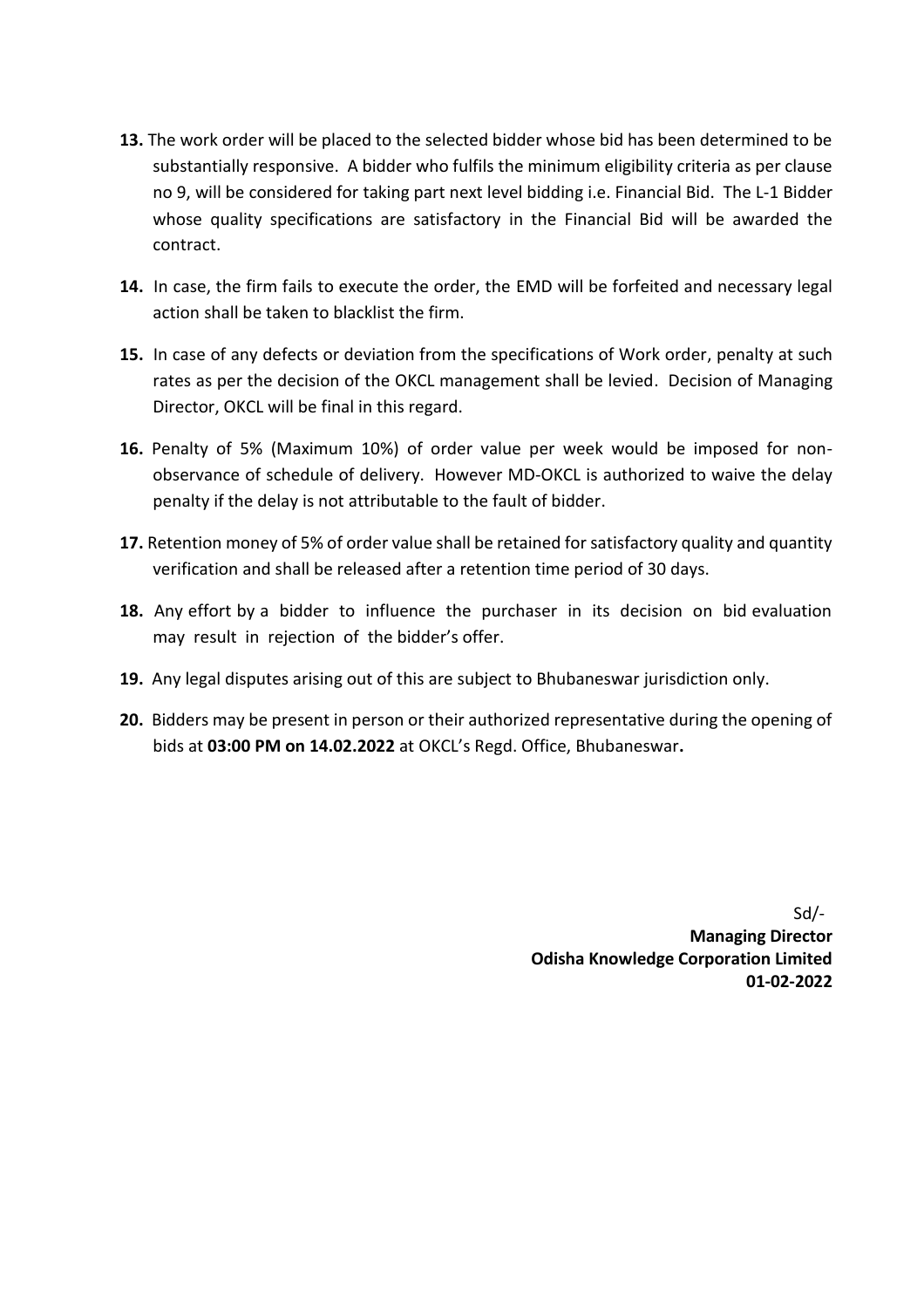- **13.** The work order will be placed to the selected bidder whose bid has been determined to be substantially responsive. A bidder who fulfils the minimum eligibility criteria as per clause no 9, will be considered for taking part next level bidding i.e. Financial Bid. The L-1 Bidder whose quality specifications are satisfactory in the Financial Bid will be awarded the contract.
- **14.** In case, the firm fails to execute the order, the EMD will be forfeited and necessary legal action shall be taken to blacklist the firm.
- **15.** In case of any defects or deviation from the specifications of Work order, penalty at such rates as per the decision of the OKCL management shall be levied. Decision of Managing Director, OKCL will be final in this regard.
- **16.** Penalty of 5% (Maximum 10%) of order value per week would be imposed for nonobservance of schedule of delivery. However MD-OKCL is authorized to waive the delay penalty if the delay is not attributable to the fault of bidder.
- **17.** Retention money of 5% of order value shall be retained for satisfactory quality and quantity verification and shall be released after a retention time period of 30 days.
- **18.** Any effort by a bidder to influence the purchaser in its decision on bid evaluation may result in rejection of the bidder's offer.
- **19.** Any legal disputes arising out of this are subject to Bhubaneswar jurisdiction only.
- **20.** Bidders may be present in person or their authorized representative during the opening of bids at **03:00 PM on 14.02.2022** at OKCL's Regd. Office, Bhubaneswar**.**

Sd/- **Managing Director Odisha Knowledge Corporation Limited 01-02-2022**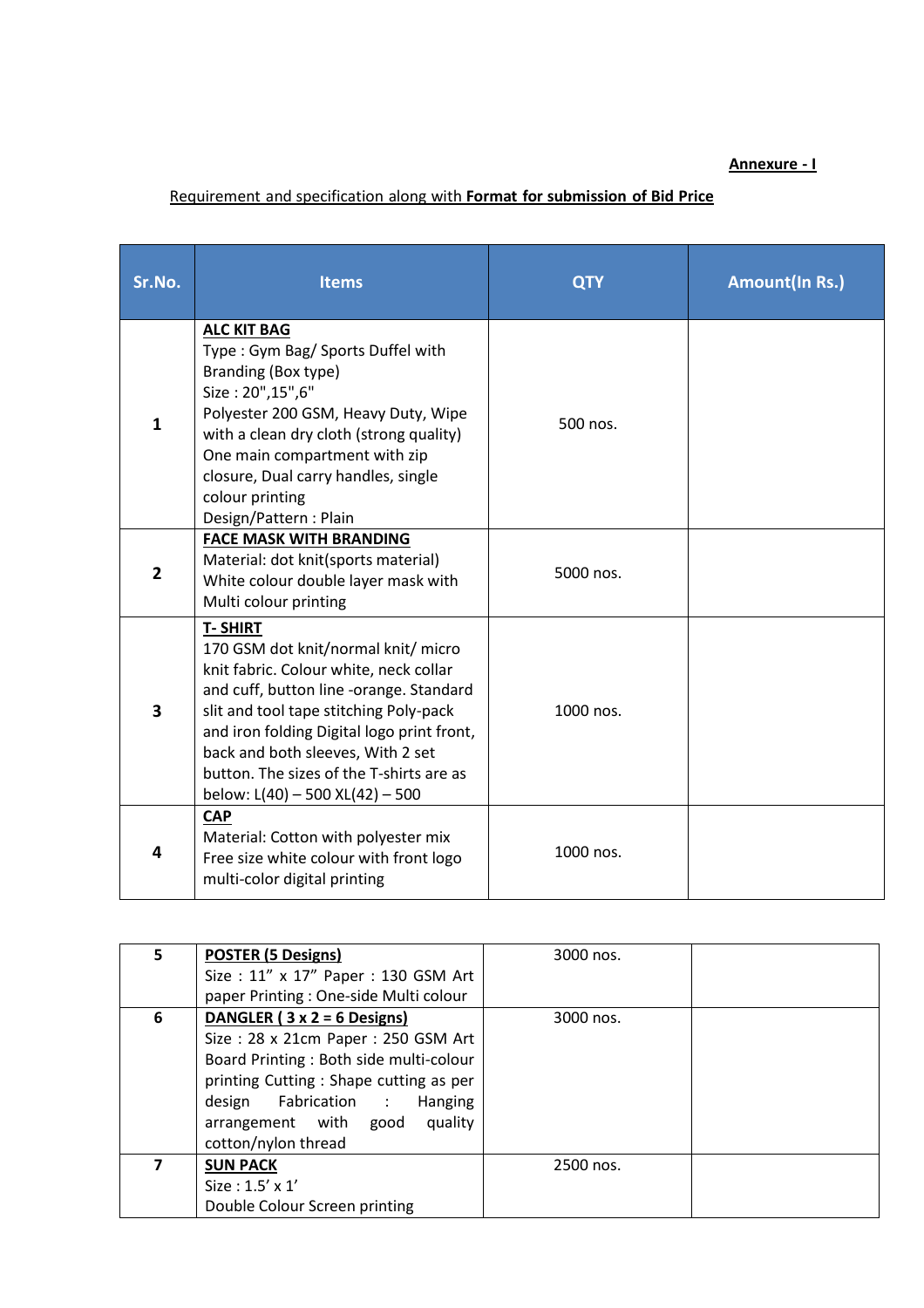#### **Annexure - I**

# Requirement and specification along with **Format for submission of Bid Price**

| Sr.No.         | <b>Items</b>                                                                                                                                                                                                                                                                                                                                          | <b>QTY</b> | <b>Amount(In Rs.)</b> |
|----------------|-------------------------------------------------------------------------------------------------------------------------------------------------------------------------------------------------------------------------------------------------------------------------------------------------------------------------------------------------------|------------|-----------------------|
| 1              | <b>ALC KIT BAG</b><br>Type: Gym Bag/ Sports Duffel with<br>Branding (Box type)<br>Size: 20", 15", 6"<br>Polyester 200 GSM, Heavy Duty, Wipe<br>with a clean dry cloth (strong quality)<br>One main compartment with zip<br>closure, Dual carry handles, single<br>colour printing<br>Design/Pattern: Plain                                            | 500 nos.   |                       |
| $\overline{2}$ | <b>FACE MASK WITH BRANDING</b><br>Material: dot knit(sports material)<br>White colour double layer mask with<br>Multi colour printing                                                                                                                                                                                                                 | 5000 nos.  |                       |
| 3              | <b>T-SHIRT</b><br>170 GSM dot knit/normal knit/micro<br>knit fabric. Colour white, neck collar<br>and cuff, button line -orange. Standard<br>slit and tool tape stitching Poly-pack<br>and iron folding Digital logo print front,<br>back and both sleeves, With 2 set<br>button. The sizes of the T-shirts are as<br>below: L(40) - 500 XL(42) - 500 | 1000 nos.  |                       |
| 4              | <b>CAP</b><br>Material: Cotton with polyester mix<br>Free size white colour with front logo<br>multi-color digital printing                                                                                                                                                                                                                           | 1000 nos.  |                       |

| 5. | <b>POSTER (5 Designs)</b>              | 3000 nos. |  |
|----|----------------------------------------|-----------|--|
|    | Size: 11" x 17" Paper: 130 GSM Art     |           |  |
|    | paper Printing: One-side Multi colour  |           |  |
| 6  | DANGLER ( $3 \times 2 = 6$ Designs)    | 3000 nos. |  |
|    | Size: 28 x 21cm Paper: 250 GSM Art     |           |  |
|    | Board Printing: Both side multi-colour |           |  |
|    | printing Cutting: Shape cutting as per |           |  |
|    | design Fabrication :<br>Hanging        |           |  |
|    | arrangement with good<br>quality       |           |  |
|    | cotton/nylon thread                    |           |  |
|    | <b>SUN PACK</b>                        | 2500 nos. |  |
|    | Size: $1.5' \times 1'$                 |           |  |
|    | Double Colour Screen printing          |           |  |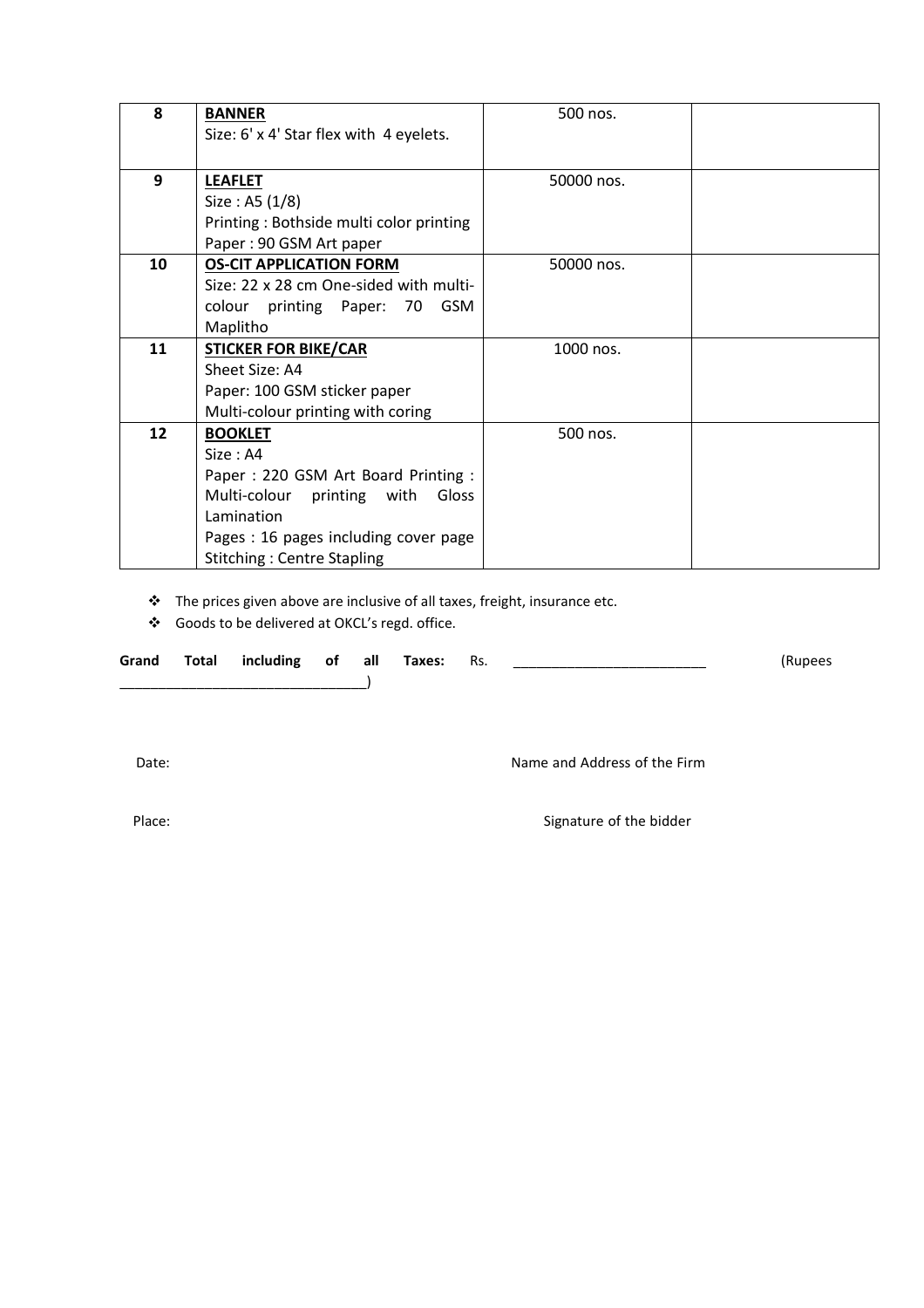| 8  | <b>BANNER</b>                           | 500 nos.   |  |
|----|-----------------------------------------|------------|--|
|    | Size: 6' x 4' Star flex with 4 eyelets. |            |  |
|    |                                         |            |  |
|    |                                         |            |  |
| 9  | <b>LEAFLET</b>                          | 50000 nos. |  |
|    | Size : A5 $(1/8)$                       |            |  |
|    | Printing: Bothside multi color printing |            |  |
|    | Paper: 90 GSM Art paper                 |            |  |
| 10 | <b>OS-CIT APPLICATION FORM</b>          | 50000 nos. |  |
|    | Size: 22 x 28 cm One-sided with multi-  |            |  |
|    | <b>GSM</b><br>colour printing Paper: 70 |            |  |
|    | Maplitho                                |            |  |
| 11 | <b>STICKER FOR BIKE/CAR</b>             | 1000 nos.  |  |
|    | Sheet Size: A4                          |            |  |
|    | Paper: 100 GSM sticker paper            |            |  |
|    | Multi-colour printing with coring       |            |  |
| 12 | <b>BOOKLET</b>                          | 500 nos.   |  |
|    | Size : A4                               |            |  |
|    | Paper: 220 GSM Art Board Printing:      |            |  |
|    | Multi-colour printing<br>Gloss<br>with  |            |  |
|    | Lamination                              |            |  |
|    | Pages: 16 pages including cover page    |            |  |
|    | <b>Stitching: Centre Stapling</b>       |            |  |

The prices given above are inclusive of all taxes, freight, insurance etc.

Goods to be delivered at OKCL's regd. office.

| Grand | Total including of all |  | Taxes: | Rs. | (Rupees |
|-------|------------------------|--|--------|-----|---------|
|       |                        |  |        |     |         |

Date: Name and Address of the Firm

Place: Signature of the bidder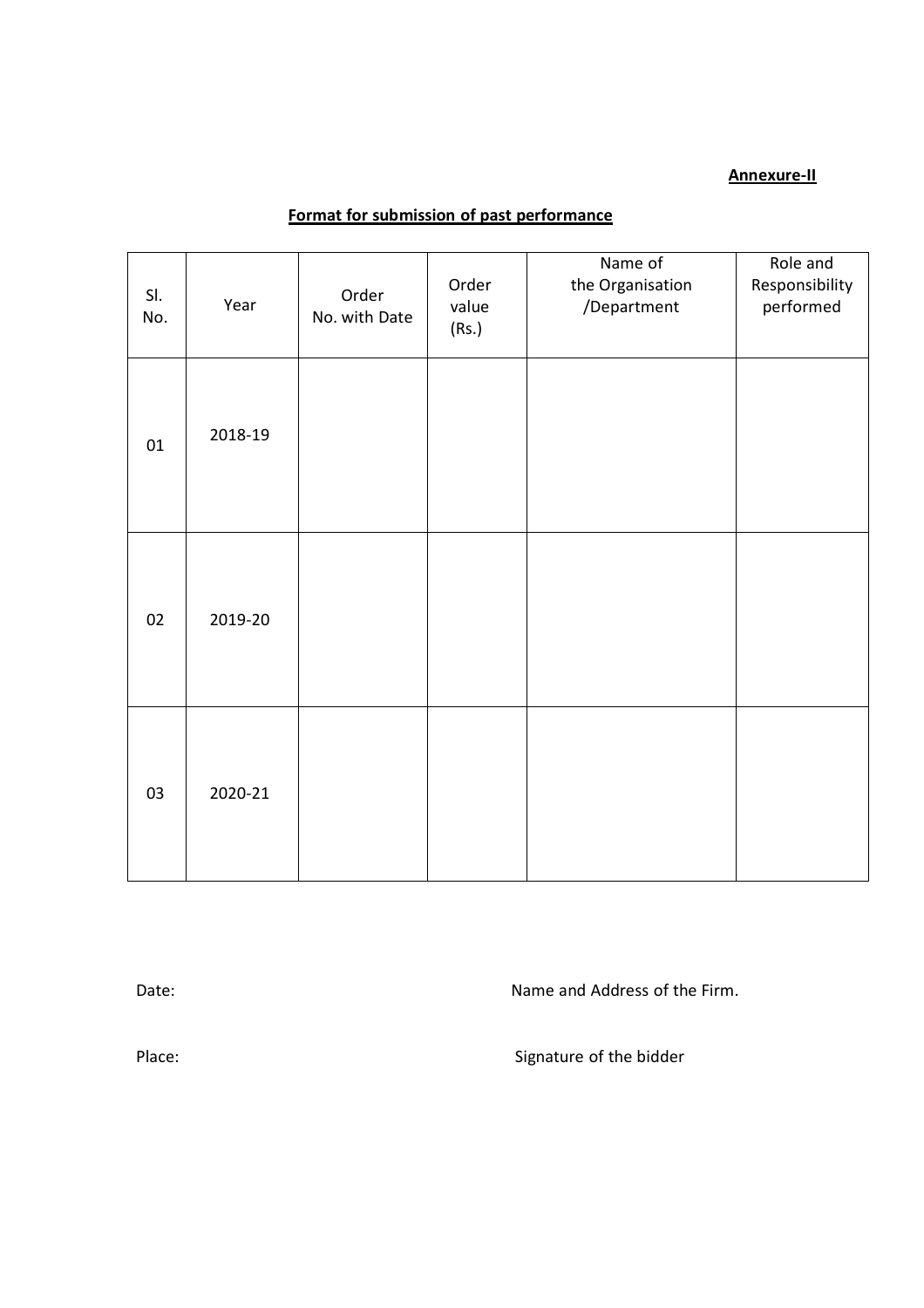#### **Annexure-II**

# **Format for submission of past performance**

| SI.<br>No. | Year    | Order<br>No. with Date | Order<br>value<br>(Rs.) | Name of<br>the Organisation<br>/Department | Role and<br>Responsibility<br>performed |
|------------|---------|------------------------|-------------------------|--------------------------------------------|-----------------------------------------|
| 01         | 2018-19 |                        |                         |                                            |                                         |
| 02         | 2019-20 |                        |                         |                                            |                                         |
| 03         | 2020-21 |                        |                         |                                            |                                         |

Date:  $\blacksquare$  Date:  $\blacksquare$ 

Place: Signature of the bidder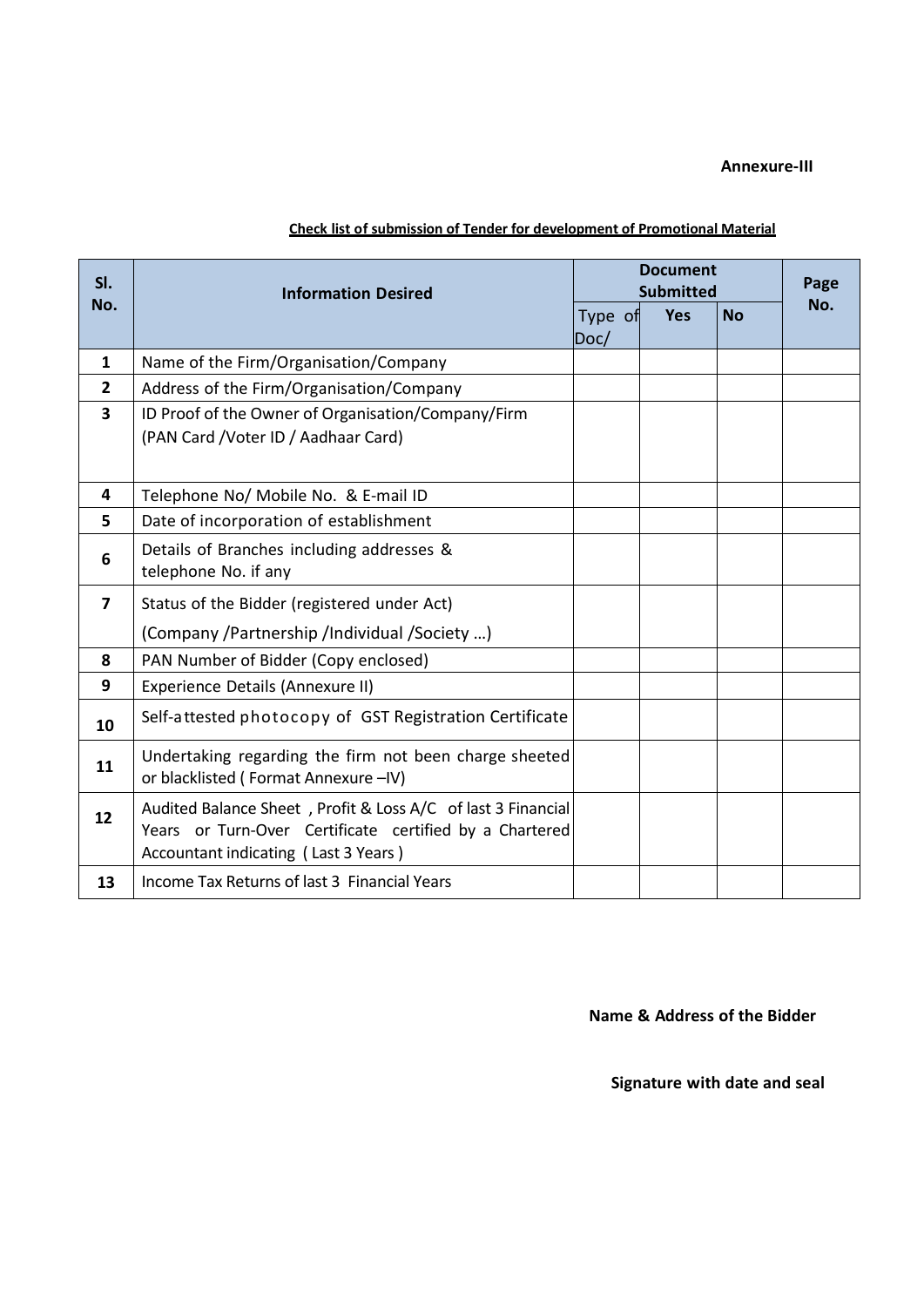#### **Annexure-III**

| SI.                     | <b>Information Desired</b>                                                                                                                                      | <b>Document</b><br><b>Submitted</b> |  |            |           | Page |
|-------------------------|-----------------------------------------------------------------------------------------------------------------------------------------------------------------|-------------------------------------|--|------------|-----------|------|
| No.                     |                                                                                                                                                                 | Type of<br>Doc/                     |  | <b>Yes</b> | <b>No</b> | No.  |
| $\mathbf{1}$            | Name of the Firm/Organisation/Company                                                                                                                           |                                     |  |            |           |      |
| $\mathbf{2}$            | Address of the Firm/Organisation/Company                                                                                                                        |                                     |  |            |           |      |
| $\overline{\mathbf{3}}$ | ID Proof of the Owner of Organisation/Company/Firm                                                                                                              |                                     |  |            |           |      |
|                         | (PAN Card / Voter ID / Aadhaar Card)                                                                                                                            |                                     |  |            |           |      |
|                         |                                                                                                                                                                 |                                     |  |            |           |      |
| 4                       | Telephone No/ Mobile No. & E-mail ID                                                                                                                            |                                     |  |            |           |      |
| 5                       | Date of incorporation of establishment                                                                                                                          |                                     |  |            |           |      |
| 6                       | Details of Branches including addresses &<br>telephone No. if any                                                                                               |                                     |  |            |           |      |
| $\overline{7}$          | Status of the Bidder (registered under Act)                                                                                                                     |                                     |  |            |           |      |
|                         | (Company /Partnership /Individual /Society )                                                                                                                    |                                     |  |            |           |      |
| 8                       | PAN Number of Bidder (Copy enclosed)                                                                                                                            |                                     |  |            |           |      |
| 9                       | Experience Details (Annexure II)                                                                                                                                |                                     |  |            |           |      |
| 10                      | Self-attested photocopy of GST Registration Certificate                                                                                                         |                                     |  |            |           |      |
| 11                      | Undertaking regarding the firm not been charge sheeted<br>or blacklisted (Format Annexure -IV)                                                                  |                                     |  |            |           |      |
| 12                      | Audited Balance Sheet, Profit & Loss A/C of last 3 Financial<br>Years or Turn-Over Certificate certified by a Chartered<br>Accountant indicating (Last 3 Years) |                                     |  |            |           |      |
| 13                      | Income Tax Returns of last 3 Financial Years                                                                                                                    |                                     |  |            |           |      |

#### **Check list of submission of Tender for development of Promotional Material**

**Name & Address of the Bidder**

**Signature with date and seal**